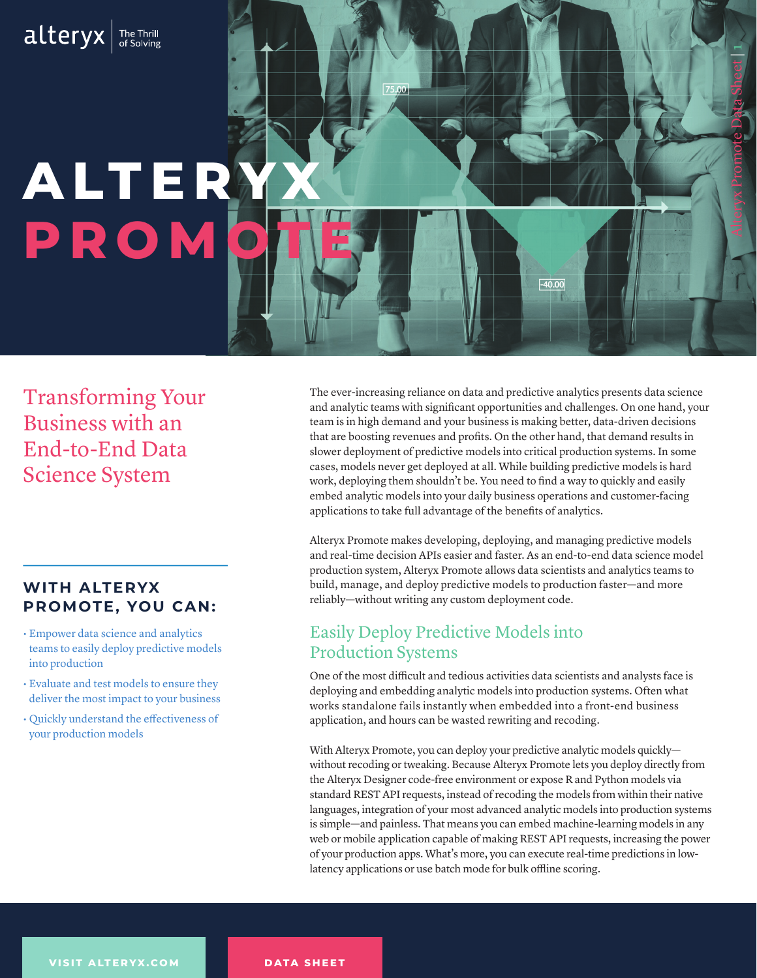# alteryx **he The Thrill**

# **ALTER PROM**

Transforming Your Business with an End-to-End Data Science System

### **WITH ALTERYX PROMOTE, YOU CAN:**

- Empower data science and analytics teams to easily deploy predictive models into production
- Evaluate and test models to ensure they deliver the most impact to your business
- Quickly understand the effectiveness of your production models

The ever-increasing reliance on data and predictive analytics presents data science and analytic teams with significant opportunities and challenges. On one hand, your team is in high demand and your business is making better, data-driven decisions that are boosting revenues and profits. On the other hand, that demand results in slower deployment of predictive models into critical production systems. In some cases, models never get deployed at all. While building predictive models is hard work, deploying them shouldn't be. You need to find a way to quickly and easily embed analytic models into your daily business operations and customer-facing applications to take full advantage of the benefits of analytics.

 $-40.00$ 

Alteryx Promote Data Sheet | 1

Alteryx Promote makes developing, deploying, and managing predictive models and real-time decision APIs easier and faster. As an end-to-end data science model production system, Alteryx Promote allows data scientists and analytics teams to build, manage, and deploy predictive models to production faster—and more reliably—without writing any custom deployment code.

## Easily Deploy Predictive Models into Production Systems

 $75,00$ 

One of the most difficult and tedious activities data scientists and analysts face is deploying and embedding analytic models into production systems. Often what works standalone fails instantly when embedded into a front-end business application, and hours can be wasted rewriting and recoding.

With Alteryx Promote, you can deploy your predictive analytic models quickly without recoding or tweaking. Because Alteryx Promote lets you deploy directly from the Alteryx Designer code-free environment or expose R and Python models via standard REST API requests, instead of recoding the models from within their native languages, integration of your most advanced analytic models into production systems is simple—and painless. That means you can embed machine-learning models in any web or mobile application capable of making REST API requests, increasing the power of your production apps. What's more, you can execute real-time predictions in lowlatency applications or use batch mode for bulk offline scoring.

**DATA SHEET**